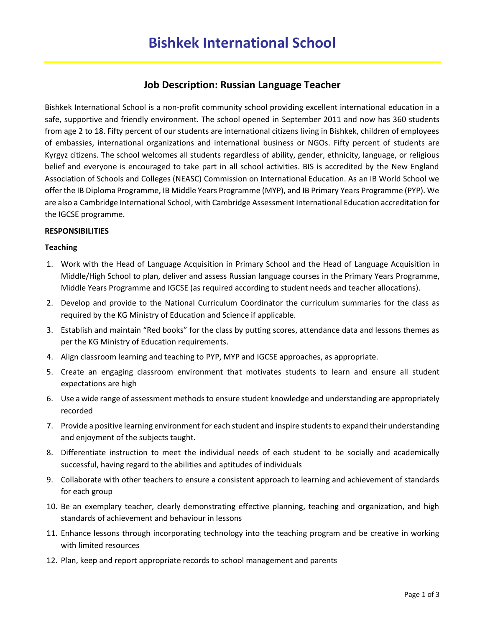# **Job Description: Russian Language Teacher**

Bishkek International School is a non-profit community school providing excellent international education in a safe, supportive and friendly environment. The school opened in September 2011 and now has 360 students from age 2 to 18. Fifty percent of our students are international citizens living in Bishkek, children of employees of embassies, international organizations and international business or NGOs. Fifty percent of students are Kyrgyz citizens. The school welcomes all students regardless of ability, gender, ethnicity, language, or religious belief and everyone is encouraged to take part in all school activities. BIS is accredited by the New England Association of Schools and Colleges (NEASC) Commission on International Education. As an IB World School we offer the IB Diploma Programme, IB Middle Years Programme (MYP), and IB Primary Years Programme (PYP). We are also a Cambridge International School, with Cambridge Assessment International Education accreditation for the IGCSE programme.

## **RESPONSIBILITIES**

#### **Teaching**

- 1. Work with the Head of Language Acquisition in Primary School and the Head of Language Acquisition in Middle/High School to plan, deliver and assess Russian language courses in the Primary Years Programme, Middle Years Programme and IGCSE (as required according to student needs and teacher allocations).
- 2. Develop and provide to the National Curriculum Coordinator the curriculum summaries for the class as required by the KG Ministry of Education and Science if applicable.
- 3. Establish and maintain "Red books" for the class by putting scores, attendance data and lessons themes as per the KG Ministry of Education requirements.
- 4. Align classroom learning and teaching to PYP, MYP and IGCSE approaches, as appropriate.
- 5. Create an engaging classroom environment that motivates students to learn and ensure all student expectations are high
- 6. Use a wide range of assessment methods to ensure student knowledge and understanding are appropriately recorded
- 7. Provide a positive learning environment for each student and inspire students to expand their understanding and enjoyment of the subjects taught.
- 8. Differentiate instruction to meet the individual needs of each student to be socially and academically successful, having regard to the abilities and aptitudes of individuals
- 9. Collaborate with other teachers to ensure a consistent approach to learning and achievement of standards for each group
- 10. Be an exemplary teacher, clearly demonstrating effective planning, teaching and organization, and high standards of achievement and behaviour in lessons
- 11. Enhance lessons through incorporating technology into the teaching program and be creative in working with limited resources
- 12. Plan, keep and report appropriate records to school management and parents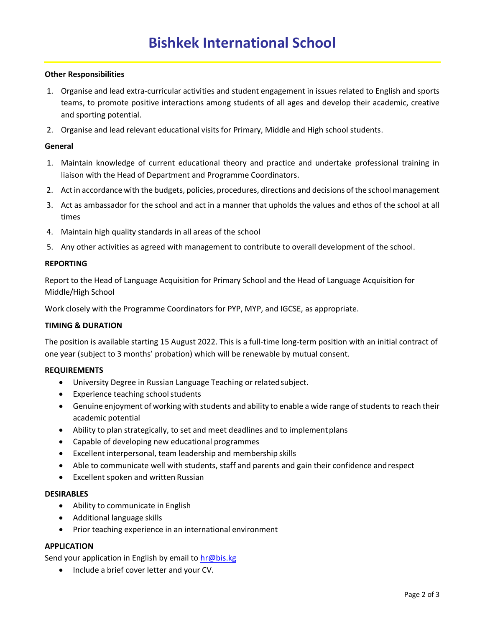### **Other Responsibilities**

- 1. Organise and lead extra-curricular activities and student engagement in issues related to English and sports teams, to promote positive interactions among students of all ages and develop their academic, creative and sporting potential.
- 2. Organise and lead relevant educational visits for Primary, Middle and High school students.

#### **General**

- 1. Maintain knowledge of current educational theory and practice and undertake professional training in liaison with the Head of Department and Programme Coordinators.
- 2. Act in accordance with the budgets, policies, procedures, directions and decisions of the school management
- 3. Act as ambassador for the school and act in a manner that upholds the values and ethos of the school at all times
- 4. Maintain high quality standards in all areas of the school
- 5. Any other activities as agreed with management to contribute to overall development of the school.

#### **REPORTING**

Report to the Head of Language Acquisition for Primary School and the Head of Language Acquisition for Middle/High School

Work closely with the Programme Coordinators for PYP, MYP, and IGCSE, as appropriate.

#### **TIMING & DURATION**

The position is available starting 15 August 2022. This is a full-time long-term position with an initial contract of one year (subject to 3 months' probation) which will be renewable by mutual consent.

#### **REQUIREMENTS**

- University Degree in Russian Language Teaching or related subject.
- Experience teaching school students
- Genuine enjoyment of working with students and ability to enable a wide range of students to reach their academic potential
- Ability to plan strategically, to set and meet deadlines and to implementplans
- Capable of developing new educational programmes
- Excellent interpersonal, team leadership and membership skills
- Able to communicate well with students, staff and parents and gain their confidence andrespect
- Excellent spoken and written Russian

#### **DESIRABLES**

- Ability to communicate in English
- Additional language skills
- Prior teaching experience in an international environment

#### **APPLICATION**

Send your application in English by email to [hr@bis.kg](mailto:hr@bis.kg)

• Include a brief cover letter and your CV.